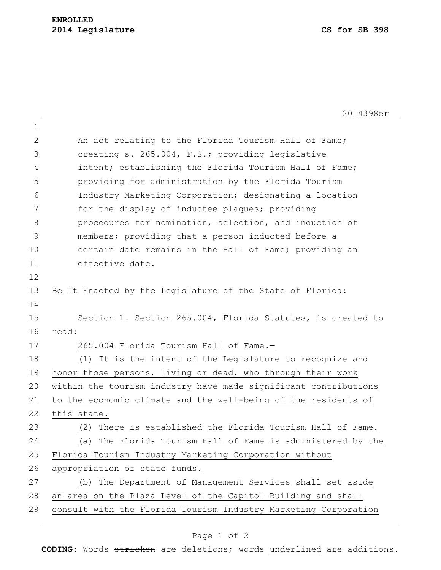1

2014398er

| $\mathbf{2}$ | An act relating to the Florida Tourism Hall of Fame;            |
|--------------|-----------------------------------------------------------------|
| 3            | creating s. 265.004, F.S.; providing legislative                |
| 4            | intent; establishing the Florida Tourism Hall of Fame;          |
| 5            | providing for administration by the Florida Tourism             |
| 6            | Industry Marketing Corporation; designating a location          |
| 7            | for the display of inductee plaques; providing                  |
| 8            | procedures for nomination, selection, and induction of          |
| $\mathsf 9$  | members; providing that a person inducted before a              |
| 10           | certain date remains in the Hall of Fame; providing an          |
| 11           | effective date.                                                 |
| 12           |                                                                 |
| 13           | Be It Enacted by the Legislature of the State of Florida:       |
| 14           |                                                                 |
| 15           | Section 1. Section 265.004, Florida Statutes, is created to     |
| 16           | read:                                                           |
| 17           | 265.004 Florida Tourism Hall of Fame.-                          |
| 18           | (1) It is the intent of the Legislature to recognize and        |
| 19           | honor those persons, living or dead, who through their work     |
| 20           | within the tourism industry have made significant contributions |
| 21           | to the economic climate and the well-being of the residents of  |
| 22           | this state.                                                     |
| 23           | There is established the Florida Tourism Hall of Fame.<br>(2)   |
| 24           | The Florida Tourism Hall of Fame is administered by the<br>(a)  |
| 25           | Florida Tourism Industry Marketing Corporation without          |
| 26           | appropriation of state funds.                                   |
| 27           | (b) The Department of Management Services shall set aside       |
| 28           | an area on the Plaza Level of the Capitol Building and shall    |
| 29           | consult with the Florida Tourism Industry Marketing Corporation |
|              |                                                                 |

## Page 1 of 2

**CODING**: Words stricken are deletions; words underlined are additions.